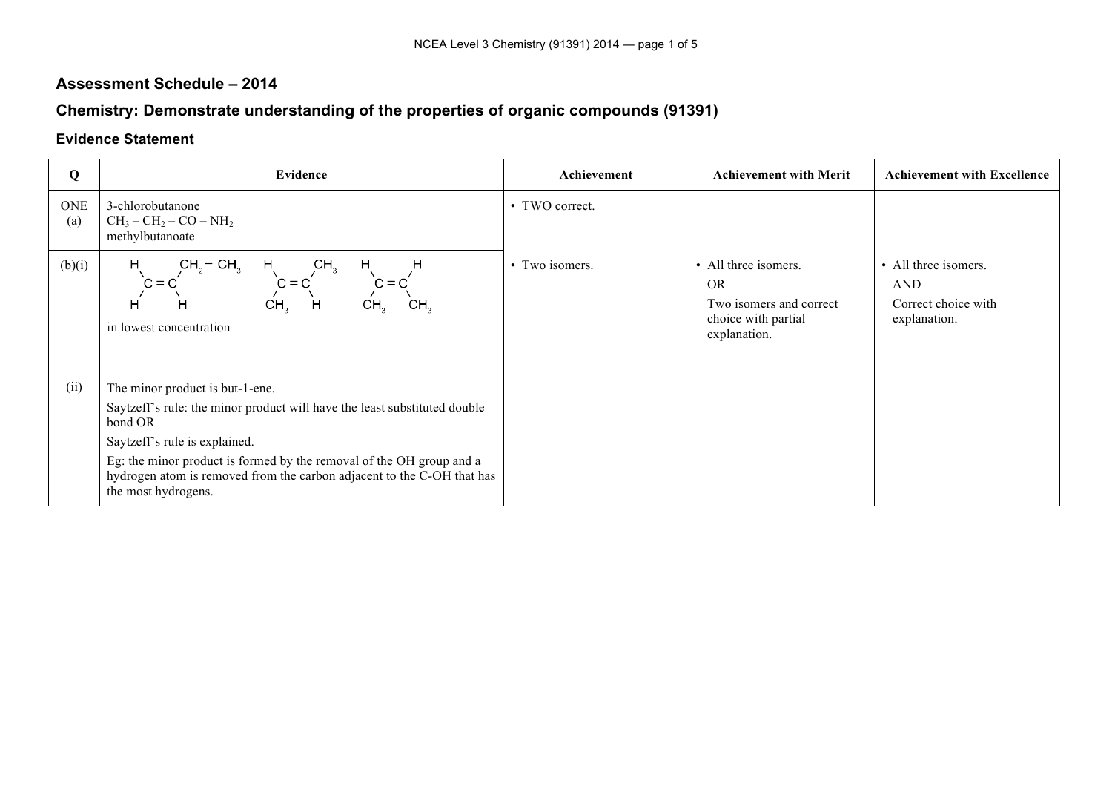## **Assessment Schedule – 2014**

## **Chemistry: Demonstrate understanding of the properties of organic compounds (91391)**

## **Evidence Statement**

| Q                 | <b>Evidence</b>                                                                                                                                                                                                                                                                                                                   | Achievement    | <b>Achievement with Merit</b>                                                                       | <b>Achievement with Excellence</b>                                        |
|-------------------|-----------------------------------------------------------------------------------------------------------------------------------------------------------------------------------------------------------------------------------------------------------------------------------------------------------------------------------|----------------|-----------------------------------------------------------------------------------------------------|---------------------------------------------------------------------------|
| <b>ONE</b><br>(a) | 3-chlorobutanone<br>$CH_3-CH_2-CO-NH_2$<br>methylbutanoate                                                                                                                                                                                                                                                                        | • TWO correct. |                                                                                                     |                                                                           |
| (b)(i)            | $CH2 - CH2$<br>CH <sub>2</sub><br>H.<br>H<br>H.<br>$C = C$<br>$C = C$<br>$C = C$<br>н<br>CH <sub>2</sub><br>H<br>CH,<br>CH <sub>3</sub><br>H<br>in lowest concentration                                                                                                                                                           | • Two isomers. | • All three isomers.<br><b>OR</b><br>Two isomers and correct<br>choice with partial<br>explanation. | • All three isomers.<br><b>AND</b><br>Correct choice with<br>explanation. |
| (ii)              | The minor product is but-1-ene.<br>Saytzeff's rule: the minor product will have the least substituted double<br>bond OR<br>Saytzeff's rule is explained.<br>Eg: the minor product is formed by the removal of the OH group and a<br>hydrogen atom is removed from the carbon adjacent to the C-OH that has<br>the most hydrogens. |                |                                                                                                     |                                                                           |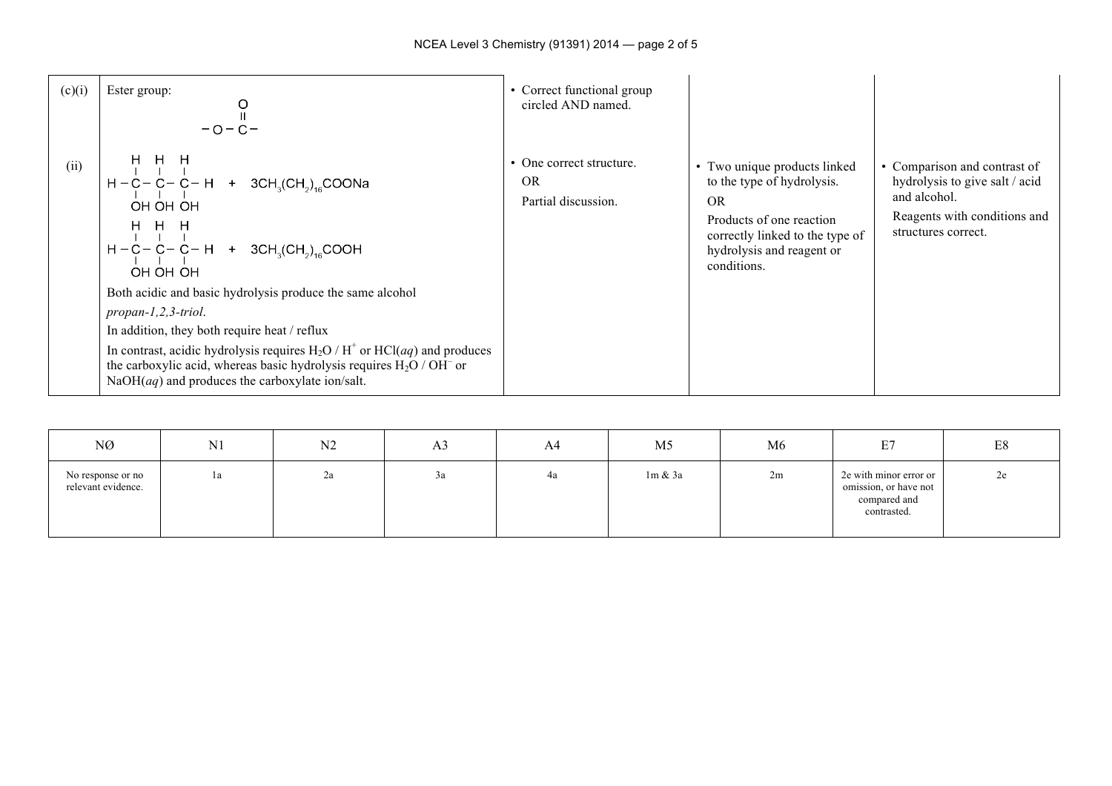| (c)(i) | Ester group:<br>$-0 - C -$                                                                                                                                                                                                                                                                                                                                                                                                                                                                                                                                      | • Correct functional group<br>circled AND named.             |                                                                                                                                                                                    |                                                                                                                                       |
|--------|-----------------------------------------------------------------------------------------------------------------------------------------------------------------------------------------------------------------------------------------------------------------------------------------------------------------------------------------------------------------------------------------------------------------------------------------------------------------------------------------------------------------------------------------------------------------|--------------------------------------------------------------|------------------------------------------------------------------------------------------------------------------------------------------------------------------------------------|---------------------------------------------------------------------------------------------------------------------------------------|
| (ii)   | H H H<br>$H - C - C - C - H$ + 3CH <sub>3</sub> (CH <sub>2</sub> ) <sub>16</sub> COONa<br>OH OH OH<br>H H H<br>$H - C - C - C - H$ + 3CH <sub>3</sub> (CH <sub>2</sub> ) <sub>16</sub> COOH<br>OH OH OH<br>Both acidic and basic hydrolysis produce the same alcohol<br>$propan-1, 2, 3-triol.$<br>In addition, they both require heat / reflux<br>In contrast, acidic hydrolysis requires $H_2O/H^+$ or $HCl(aq)$ and produces<br>the carboxylic acid, whereas basic hydrolysis requires $H_2O / OH^-$ or<br>$NaOH(aq)$ and produces the carboxylate ion/salt. | • One correct structure.<br><b>OR</b><br>Partial discussion. | • Two unique products linked<br>to the type of hydrolysis.<br><b>OR</b><br>Products of one reaction<br>correctly linked to the type of<br>hydrolysis and reagent or<br>conditions. | • Comparison and contrast of<br>hydrolysis to give salt / acid<br>and alcohol.<br>Reagents with conditions and<br>structures correct. |

| NØ                                      | N <sub>1</sub> | N <sub>2</sub> | A <sub>3</sub> | A4 | M <sub>5</sub> | M <sub>6</sub> | E7<br>ا تا                                                                     | E8 |
|-----------------------------------------|----------------|----------------|----------------|----|----------------|----------------|--------------------------------------------------------------------------------|----|
| No response or no<br>relevant evidence. | la             | 2a             | 3a             | 4a | $1m \& 3a$     | 2m             | 2e with minor error or<br>omission, or have not<br>compared and<br>contrasted. | 2e |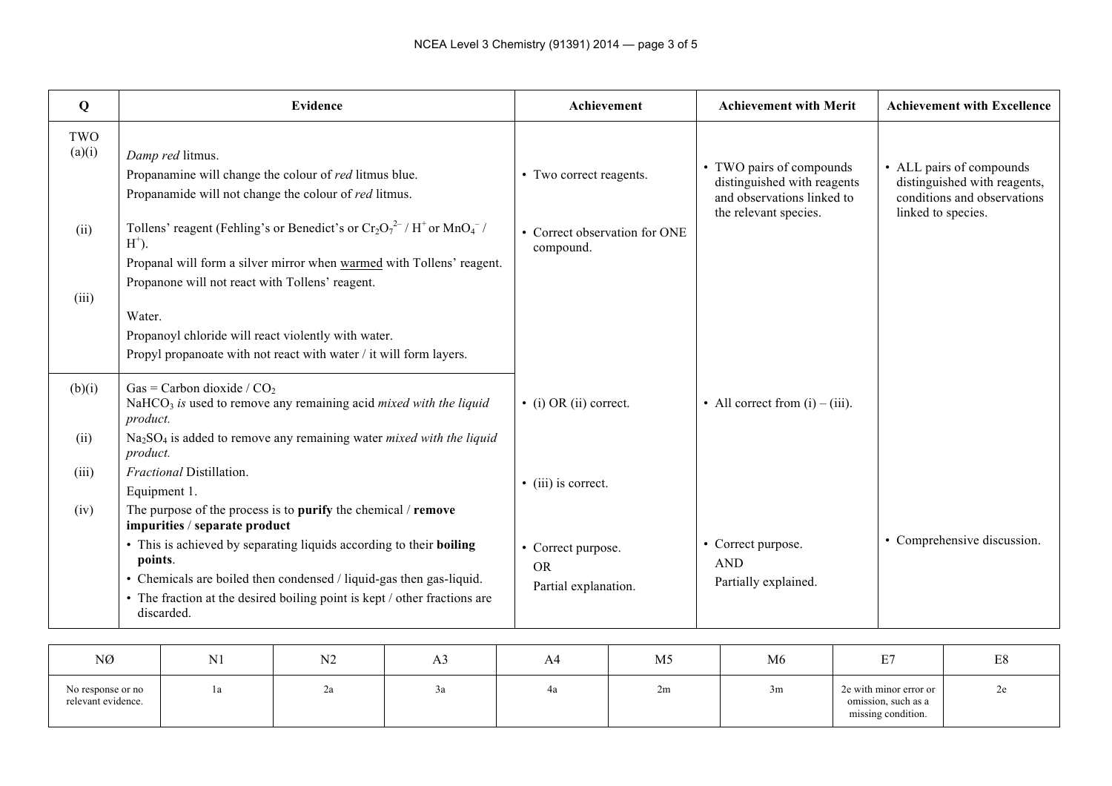| Q                              |                       |                                                 | <b>Evidence</b>                                                                                                                                                                                                         |                                                                                              | Achievement                                             |    | <b>Achievement with Merit</b>                                                                                  |    | <b>Achievement with Excellence</b>                                                                            |
|--------------------------------|-----------------------|-------------------------------------------------|-------------------------------------------------------------------------------------------------------------------------------------------------------------------------------------------------------------------------|----------------------------------------------------------------------------------------------|---------------------------------------------------------|----|----------------------------------------------------------------------------------------------------------------|----|---------------------------------------------------------------------------------------------------------------|
| TWO<br>(a)(i)                  |                       | Damp red litmus.                                | Propanamine will change the colour of red litmus blue.<br>Propanamide will not change the colour of red litmus.                                                                                                         |                                                                                              | • Two correct reagents.                                 |    | • TWO pairs of compounds<br>distinguished with reagents<br>and observations linked to<br>the relevant species. |    | • ALL pairs of compounds<br>distinguished with reagents,<br>conditions and observations<br>linked to species. |
| (ii)                           | $H^+$ ).              | Propanone will not react with Tollens' reagent. | Tollens' reagent (Fehling's or Benedict's or $Cr_2O_7^{2-}/H^+$ or $MnO_4^-/$                                                                                                                                           | Propanal will form a silver mirror when warmed with Tollens' reagent.                        | • Correct observation for ONE<br>compound.              |    |                                                                                                                |    |                                                                                                               |
| (iii)                          | Water.                |                                                 | Propanoyl chloride will react violently with water.<br>Propyl propanoate with not react with water / it will form layers.                                                                                               |                                                                                              |                                                         |    |                                                                                                                |    |                                                                                                               |
| (b)(i)                         | product.              | Gas = Carbon dioxide / $CO2$                    | $NaHCO3$ is used to remove any remaining acid <i>mixed with the liquid</i>                                                                                                                                              |                                                                                              | $\bullet$ (i) OR (ii) correct.                          |    | • All correct from $(i) - (iii)$ .                                                                             |    |                                                                                                               |
| (ii)                           | product.              |                                                 |                                                                                                                                                                                                                         | Na <sub>2</sub> SO <sub>4</sub> is added to remove any remaining water mixed with the liquid |                                                         |    |                                                                                                                |    |                                                                                                               |
| (iii)                          | Equipment 1.          | Fractional Distillation.                        |                                                                                                                                                                                                                         |                                                                                              | • (iii) is correct.                                     |    |                                                                                                                |    |                                                                                                               |
| (iv)                           |                       | impurities / separate product                   | The purpose of the process is to purify the chemical / remove                                                                                                                                                           |                                                                                              |                                                         |    |                                                                                                                |    |                                                                                                               |
|                                | points.<br>discarded. |                                                 | • This is achieved by separating liquids according to their boiling<br>• Chemicals are boiled then condensed / liquid-gas then gas-liquid.<br>• The fraction at the desired boiling point is kept / other fractions are |                                                                                              | • Correct purpose.<br><b>OR</b><br>Partial explanation. |    | • Correct purpose.<br><b>AND</b><br>Partially explained.                                                       |    | • Comprehensive discussion.                                                                                   |
| $\overline{\text{N}}$ $\alpha$ |                       | N1                                              | $\mathbf{M}$                                                                                                                                                                                                            | $\lambda$ 2                                                                                  | $\Lambda$ $\Lambda$                                     | M5 | M6                                                                                                             | E7 | $\Gamma$ O                                                                                                    |

| NØ                                      | <b>AT1</b><br>IN I | N <sub>2</sub> | Aэ | A4 | M5 | M <sub>6</sub> | $F -$<br><u>.</u>                                                   | $\Gamma$ <sup><math>\Omega</math></sup><br>Eδ |
|-----------------------------------------|--------------------|----------------|----|----|----|----------------|---------------------------------------------------------------------|-----------------------------------------------|
| No response or no<br>relevant evidence. | Ιa                 | ∠a             | ⊃u |    | 2m | 3m             | 2e with minor error or<br>omission, such as a<br>missing condition. | ze                                            |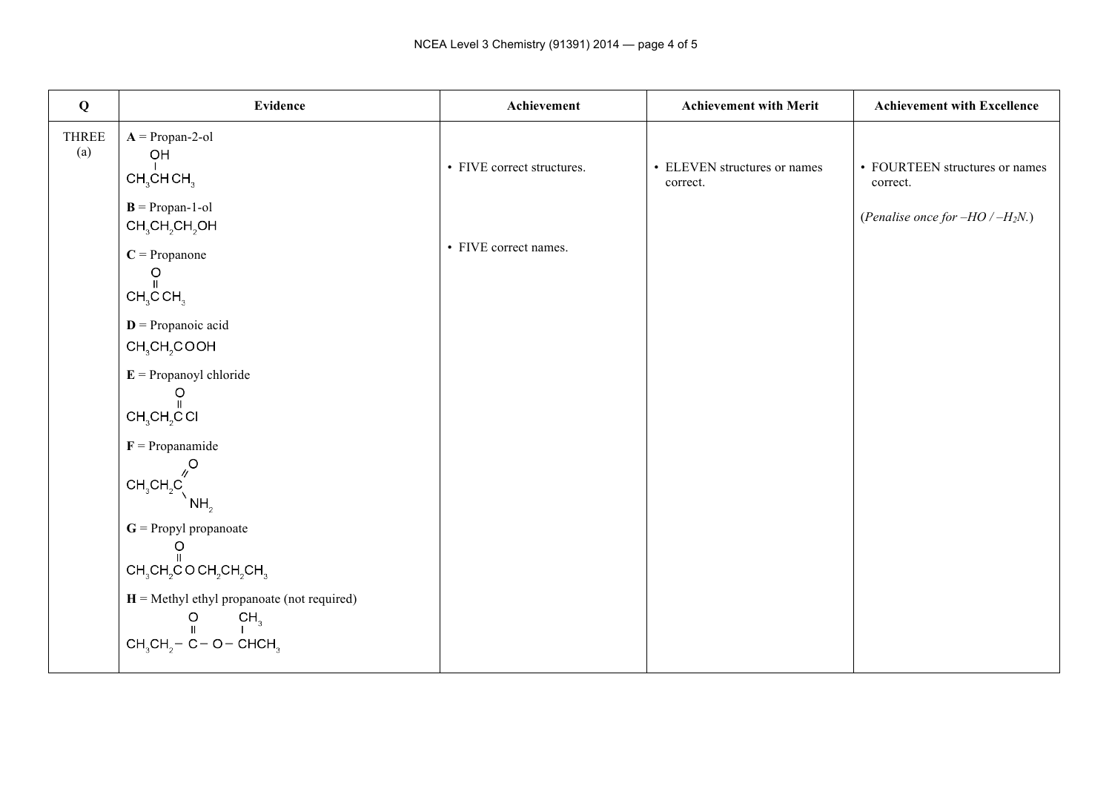| Q            | <b>Evidence</b>                                                                                        | Achievement                | <b>Achievement with Merit</b>            | <b>Achievement with Excellence</b>         |
|--------------|--------------------------------------------------------------------------------------------------------|----------------------------|------------------------------------------|--------------------------------------------|
| THREE<br>(a) | $A =  Propan-2-ol$<br>$\mathsf{OH}$<br>CH <sub>3</sub> CHCH <sub>3</sub>                               | • FIVE correct structures. | • ELEVEN structures or names<br>correct. | • FOURTEEN structures or names<br>correct. |
|              | $B = Propan-1-ol$<br>$CH3CH2CH2OH$<br>$C =$ Propanone<br>$\circ$                                       | • FIVE correct names.      |                                          | (Penalise once for $-HO$ / $-H2N$ .)       |
|              | $\mathbf{II}$<br>CH <sub>3</sub> CH <sub>3</sub>                                                       |                            |                                          |                                            |
|              | $D =$ Propanoic acid<br>CH <sub>3</sub> CH <sub>2</sub> COOH                                           |                            |                                          |                                            |
|              | $E =$ Propanoyl chloride<br>Ω<br>CH <sub>3</sub> CH <sub>2</sub> COI                                   |                            |                                          |                                            |
|              | $F = Propanamide$<br>$\mathcal{S}_{\mathcal{N}}$                                                       |                            |                                          |                                            |
|              | $CH_3CH_2C$<br>NH <sub>2</sub><br>$G =$ Propyl propanoate                                              |                            |                                          |                                            |
|              | O<br>$CH_3CH_2COCH_2CH_2CH_3$                                                                          |                            |                                          |                                            |
|              | $H =$ Methyl ethyl propanoate (not required)<br>CH <sub>3</sub><br>$\circ$<br>$CH3CH2 - C - O - CHCH3$ |                            |                                          |                                            |